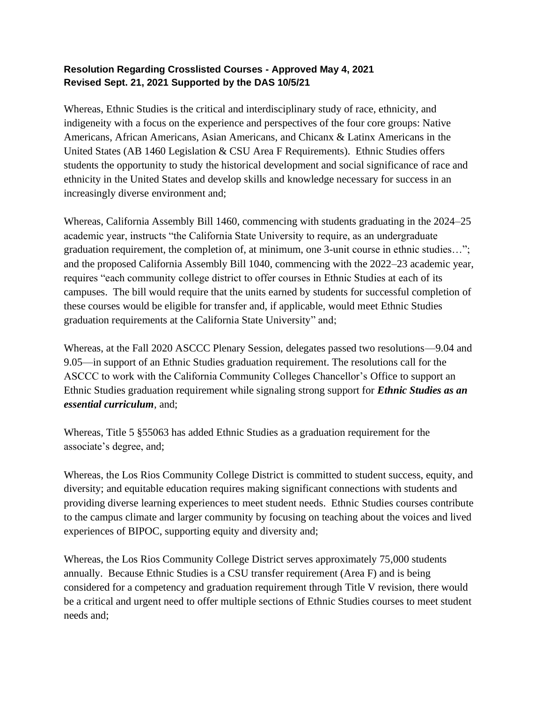## **Resolution Regarding Crosslisted Courses - Approved May 4, 2021 Revised Sept. 21, 2021 Supported by the DAS 10/5/21**

Whereas, Ethnic Studies is the critical and interdisciplinary study of race, ethnicity, and indigeneity with a focus on the experience and perspectives of the four core groups: Native Americans, African Americans, Asian Americans, and Chicanx & Latinx Americans in the United States (AB 1460 Legislation & CSU Area F Requirements). Ethnic Studies offers students the opportunity to study the historical development and social significance of race and ethnicity in the United States and develop skills and knowledge necessary for success in an increasingly diverse environment and;

Whereas, California Assembly Bill 1460, commencing with students graduating in the 2024–25 academic year, instructs "the California State University to require, as an undergraduate graduation requirement, the completion of, at minimum, one 3-unit course in ethnic studies…"; and the proposed California Assembly Bill 1040, commencing with the 2022–23 academic year, requires "each community college district to offer courses in Ethnic Studies at each of its campuses. The bill would require that the units earned by students for successful completion of these courses would be eligible for transfer and, if applicable, would meet Ethnic Studies graduation requirements at the California State University" and;

Whereas, at the Fall 2020 ASCCC Plenary Session, delegates passed two resolutions—9.04 and 9.05—in support of an Ethnic Studies graduation requirement. The resolutions call for the ASCCC to work with the California Community Colleges Chancellor's Office to support an Ethnic Studies graduation requirement while signaling strong support for *Ethnic Studies as an essential curriculum*, and;

Whereas, Title 5 §55063 has added Ethnic Studies as a graduation requirement for the associate's degree, and;

Whereas, the Los Rios Community College District is committed to student success, equity, and diversity; and equitable education requires making significant connections with students and providing diverse learning experiences to meet student needs. Ethnic Studies courses contribute to the campus climate and larger community by focusing on teaching about the voices and lived experiences of BIPOC, supporting equity and diversity and;

Whereas, the Los Rios Community College District serves approximately 75,000 students annually. Because Ethnic Studies is a CSU transfer requirement (Area F) and is being considered for a competency and graduation requirement through Title V revision, there would be a critical and urgent need to offer multiple sections of Ethnic Studies courses to meet student needs and;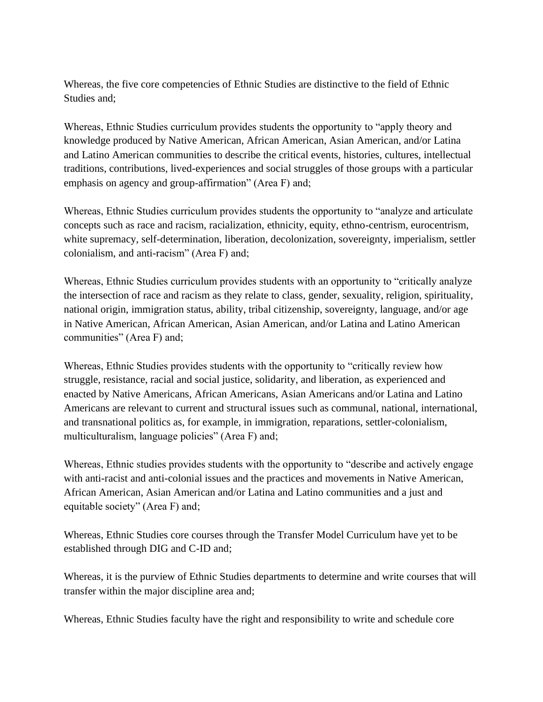Whereas, the five core competencies of Ethnic Studies are distinctive to the field of Ethnic Studies and;

Whereas, Ethnic Studies curriculum provides students the opportunity to "apply theory and knowledge produced by Native American, African American, Asian American, and/or Latina and Latino American communities to describe the critical events, histories, cultures, intellectual traditions, contributions, lived-experiences and social struggles of those groups with a particular emphasis on agency and group-affirmation" (Area F) and;

Whereas, Ethnic Studies curriculum provides students the opportunity to "analyze and articulate concepts such as race and racism, racialization, ethnicity, equity, ethno-centrism, eurocentrism, white supremacy, self-determination, liberation, decolonization, sovereignty, imperialism, settler colonialism, and anti-racism" (Area F) and;

Whereas, Ethnic Studies curriculum provides students with an opportunity to "critically analyze the intersection of race and racism as they relate to class, gender, sexuality, religion, spirituality, national origin, immigration status, ability, tribal citizenship, sovereignty, language, and/or age in Native American, African American, Asian American, and/or Latina and Latino American communities" (Area F) and;

Whereas, Ethnic Studies provides students with the opportunity to "critically review how struggle, resistance, racial and social justice, solidarity, and liberation, as experienced and enacted by Native Americans, African Americans, Asian Americans and/or Latina and Latino Americans are relevant to current and structural issues such as communal, national, international, and transnational politics as, for example, in immigration, reparations, settler-colonialism, multiculturalism, language policies" (Area F) and;

Whereas, Ethnic studies provides students with the opportunity to "describe and actively engage with anti-racist and anti-colonial issues and the practices and movements in Native American, African American, Asian American and/or Latina and Latino communities and a just and equitable society" (Area F) and;

Whereas, Ethnic Studies core courses through the Transfer Model Curriculum have yet to be established through DIG and C-ID and;

Whereas, it is the purview of Ethnic Studies departments to determine and write courses that will transfer within the major discipline area and;

Whereas, Ethnic Studies faculty have the right and responsibility to write and schedule core